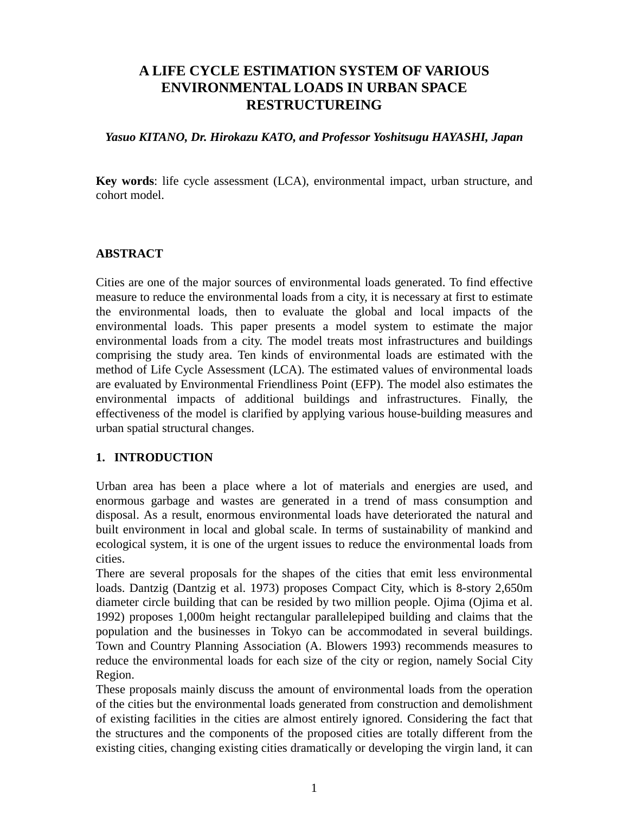# **A LIFE CYCLE ESTIMATION SYSTEM OF VARIOUS ENVIRONMENTAL LOADS IN URBAN SPACE RESTRUCTUREING**

#### *Yasuo KITANO, Dr. Hirokazu KATO, and Professor Yoshitsugu HAYASHI, Japan*

**Key words**: life cycle assessment (LCA), environmental impact, urban structure, and cohort model.

## **ABSTRACT**

Cities are one of the major sources of environmental loads generated. To find effective measure to reduce the environmental loads from a city, it is necessary at first to estimate the environmental loads, then to evaluate the global and local impacts of the environmental loads. This paper presents a model system to estimate the major environmental loads from a city. The model treats most infrastructures and buildings comprising the study area. Ten kinds of environmental loads are estimated with the method of Life Cycle Assessment (LCA). The estimated values of environmental loads are evaluated by Environmental Friendliness Point (EFP). The model also estimates the environmental impacts of additional buildings and infrastructures. Finally, the effectiveness of the model is clarified by applying various house-building measures and urban spatial structural changes.

## **1. INTRODUCTION**

Urban area has been a place where a lot of materials and energies are used, and enormous garbage and wastes are generated in a trend of mass consumption and disposal. As a result, enormous environmental loads have deteriorated the natural and built environment in local and global scale. In terms of sustainability of mankind and ecological system, it is one of the urgent issues to reduce the environmental loads from cities.

There are several proposals for the shapes of the cities that emit less environmental loads. Dantzig (Dantzig et al. 1973) proposes Compact City, which is 8-story 2,650m diameter circle building that can be resided by two million people. Ojima (Ojima et al. 1992) proposes 1,000m height rectangular parallelepiped building and claims that the population and the businesses in Tokyo can be accommodated in several buildings. Town and Country Planning Association (A. Blowers 1993) recommends measures to reduce the environmental loads for each size of the city or region, namely Social City Region.

These proposals mainly discuss the amount of environmental loads from the operation of the cities but the environmental loads generated from construction and demolishment of existing facilities in the cities are almost entirely ignored. Considering the fact that the structures and the components of the proposed cities are totally different from the existing cities, changing existing cities dramatically or developing the virgin land, it can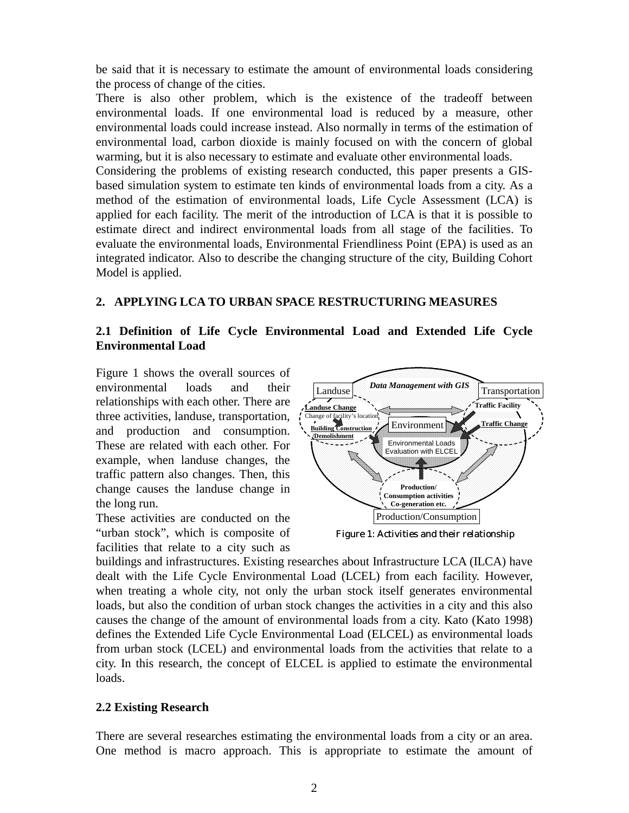be said that it is necessary to estimate the amount of environmental loads considering the process of change of the cities.

There is also other problem, which is the existence of the tradeoff between environmental loads. If one environmental load is reduced by a measure, other environmental loads could increase instead. Also normally in terms of the estimation of environmental load, carbon dioxide is mainly focused on with the concern of global warming, but it is also necessary to estimate and evaluate other environmental loads.

Considering the problems of existing research conducted, this paper presents a GISbased simulation system to estimate ten kinds of environmental loads from a city. As a method of the estimation of environmental loads, Life Cycle Assessment (LCA) is applied for each facility. The merit of the introduction of LCA is that it is possible to estimate direct and indirect environmental loads from all stage of the facilities. To evaluate the environmental loads, Environmental Friendliness Point (EPA) is used as an integrated indicator. Also to describe the changing structure of the city, Building Cohort Model is applied.

## **2. APPLYING LCA TO URBAN SPACE RESTRUCTURING MEASURES**

## **2.1 Definition of Life Cycle Environmental Load and Extended Life Cycle Environmental Load**

Figure 1 shows the overall sources of environmental loads and their relationships with each other. There are three activities, landuse, transportation, and production and consumption. These are related with each other. For example, when landuse changes, the traffic pattern also changes. Then, this change causes the landuse change in the long run.

These activities are conducted on the "urban stock", which is composite of facilities that relate to a city such as



*Figure 1: Activities and their relationship*

buildings and infrastructures. Existing researches about Infrastructure LCA (ILCA) have dealt with the Life Cycle Environmental Load (LCEL) from each facility. However, when treating a whole city, not only the urban stock itself generates environmental loads, but also the condition of urban stock changes the activities in a city and this also causes the change of the amount of environmental loads from a city. Kato (Kato 1998) defines the Extended Life Cycle Environmental Load (ELCEL) as environmental loads from urban stock (LCEL) and environmental loads from the activities that relate to a city. In this research, the concept of ELCEL is applied to estimate the environmental loads.

## **2.2 Existing Research**

There are several researches estimating the environmental loads from a city or an area. One method is macro approach. This is appropriate to estimate the amount of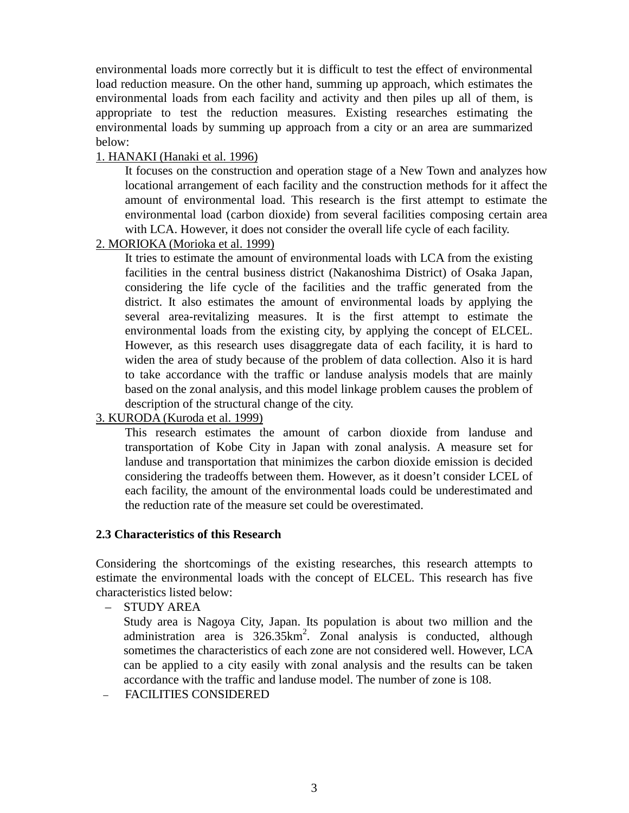environmental loads more correctly but it is difficult to test the effect of environmental load reduction measure. On the other hand, summing up approach, which estimates the environmental loads from each facility and activity and then piles up all of them, is appropriate to test the reduction measures. Existing researches estimating the environmental loads by summing up approach from a city or an area are summarized below:

## 1. HANAKI (Hanaki et al. 1996)

It focuses on the construction and operation stage of a New Town and analyzes how locational arrangement of each facility and the construction methods for it affect the amount of environmental load. This research is the first attempt to estimate the environmental load (carbon dioxide) from several facilities composing certain area with LCA. However, it does not consider the overall life cycle of each facility.

## 2. MORIOKA (Morioka et al. 1999)

It tries to estimate the amount of environmental loads with LCA from the existing facilities in the central business district (Nakanoshima District) of Osaka Japan, considering the life cycle of the facilities and the traffic generated from the district. It also estimates the amount of environmental loads by applying the several area-revitalizing measures. It is the first attempt to estimate the environmental loads from the existing city, by applying the concept of ELCEL. However, as this research uses disaggregate data of each facility, it is hard to widen the area of study because of the problem of data collection. Also it is hard to take accordance with the traffic or landuse analysis models that are mainly based on the zonal analysis, and this model linkage problem causes the problem of description of the structural change of the city.

# 3. KURODA (Kuroda et al. 1999)

This research estimates the amount of carbon dioxide from landuse and transportation of Kobe City in Japan with zonal analysis. A measure set for landuse and transportation that minimizes the carbon dioxide emission is decided considering the tradeoffs between them. However, as it doesn't consider LCEL of each facility, the amount of the environmental loads could be underestimated and the reduction rate of the measure set could be overestimated.

## **2.3 Characteristics of this Research**

Considering the shortcomings of the existing researches, this research attempts to estimate the environmental loads with the concept of ELCEL. This research has five characteristics listed below:

– STUDY AREA

Study area is Nagoya City, Japan. Its population is about two million and the administration area is  $326.35 \text{km}^2$ . Zonal analysis is conducted, although sometimes the characteristics of each zone are not considered well. However, LCA can be applied to a city easily with zonal analysis and the results can be taken accordance with the traffic and landuse model. The number of zone is 108.

– FACILITIES CONSIDERED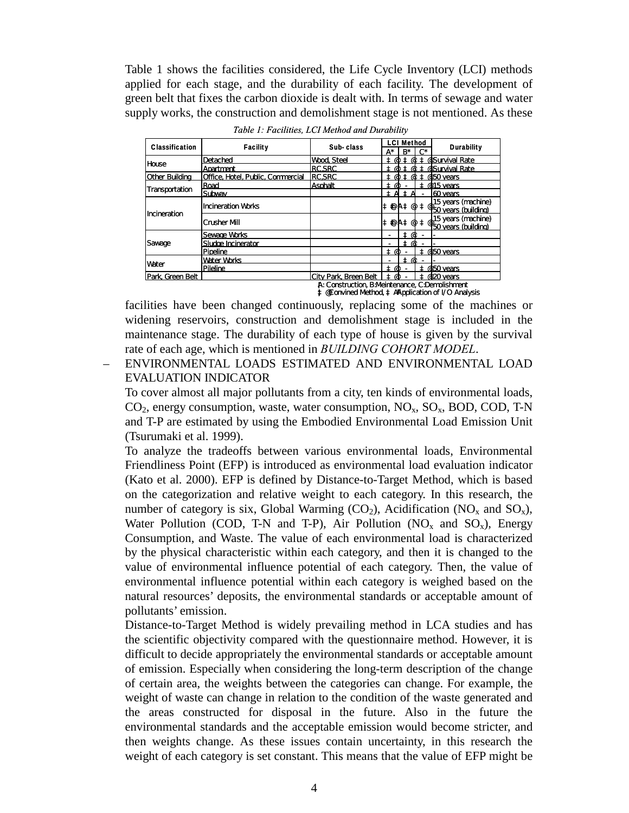Table 1 shows the facilities considered, the Life Cycle Inventory (LCI) methods applied for each stage, and the durability of each facility. The development of green belt that fixes the carbon dioxide is dealt with. In terms of sewage and water supply works, the construction and demolishment stage is not mentioned. As these

| <b>Classification</b> | <b>Facility</b>                   | Sub-class                  | <b>LCI Method</b><br>$R^*$<br>C*<br>A* | Durability                                                                                                                                              |
|-----------------------|-----------------------------------|----------------------------|----------------------------------------|---------------------------------------------------------------------------------------------------------------------------------------------------------|
| House                 | Detached                          | Wood, Steel                | ΞQ                                     | t @ t @ Survival Rate                                                                                                                                   |
|                       | Apartment                         | <b>RC.SRC</b>              |                                        | t @ t @ t @ Survival Rate                                                                                                                               |
| Other Building        | Office. Hotel. Public. Commercial | <b>RCSRC</b>               | † @<br>±Φ                              | # @50 years                                                                                                                                             |
| Transportation        | Road                              | <b>Asphalt</b>             | ± @                                    | $\pm$ @15 years                                                                                                                                         |
|                       | Subwav                            |                            | İΑ<br>Α<br>-                           | 160 years                                                                                                                                               |
| Incineration          | Incineration Works                |                            |                                        | $\pm$ $\circledast$ A $\pm$ $\circledast$ $\frac{15}{50}$ years (machine)<br>$\pm$ $\circledast$ A $\pm$ $\circledast$ $\frac{15}{50}$ years (building) |
|                       | Crusher Mill                      |                            |                                        | $\pm \Phi$ A $\pm \Phi$ $\pm \Phi$ 15 years (machine)<br>50 years (building)                                                                            |
| Sawage                | Sewaœ Works                       |                            | φt                                     |                                                                                                                                                         |
|                       | Sludge Incinerator                |                            | ± @                                    |                                                                                                                                                         |
|                       | Pipeline                          |                            | Ι@                                     | # @50 years                                                                                                                                             |
| <b>Water</b>          | Water Works                       |                            | ± @                                    |                                                                                                                                                         |
|                       | Pileline                          |                            | ± @                                    | ± @50 years                                                                                                                                             |
| Park. Green Belt      |                                   | City Park, Breen Belt<br>. |                                        | @20 years                                                                                                                                               |

*Table 1: Facilities, LCI Method and Durability* 

¦‡ @FConvined Method, ‡ AFApplication of I/O Analysis ¦A: Construction, B:Meintenance, C:Demolishment

facilities have been changed continuously, replacing some of the machines or widening reservoirs, construction and demolishment stage is included in the maintenance stage. The durability of each type of house is given by the survival rate of each age, which is mentioned in *BUILDING COHORT MODEL*.

# – ENVIRONMENTAL LOADS ESTIMATED AND ENVIRONMENTAL LOAD EVALUATION INDICATOR

To cover almost all major pollutants from a city, ten kinds of environmental loads,  $CO<sub>2</sub>$ , energy consumption, waste, water consumption,  $NO<sub>x</sub>$ ,  $SO<sub>x</sub>$ , BOD, COD, T-N and T-P are estimated by using the Embodied Environmental Load Emission Unit (Tsurumaki et al. 1999).

To analyze the tradeoffs between various environmental loads, Environmental Friendliness Point (EFP) is introduced as environmental load evaluation indicator (Kato et al. 2000). EFP is defined by Distance-to-Target Method, which is based on the categorization and relative weight to each category. In this research, the number of category is six, Global Warming  $(CO_2)$ , Acidification  $(NO_x \text{ and } SO_x)$ , Water Pollution (COD, T-N and T-P), Air Pollution (NO<sub>x</sub> and SO<sub>x</sub>), Energy Consumption, and Waste. The value of each environmental load is characterized by the physical characteristic within each category, and then it is changed to the value of environmental influence potential of each category. Then, the value of environmental influence potential within each category is weighed based on the natural resources' deposits, the environmental standards or acceptable amount of pollutants' emission.

Distance-to-Target Method is widely prevailing method in LCA studies and has the scientific objectivity compared with the questionnaire method. However, it is difficult to decide appropriately the environmental standards or acceptable amount of emission. Especially when considering the long-term description of the change of certain area, the weights between the categories can change. For example, the weight of waste can change in relation to the condition of the waste generated and the areas constructed for disposal in the future. Also in the future the environmental standards and the acceptable emission would become stricter, and then weights change. As these issues contain uncertainty, in this research the weight of each category is set constant. This means that the value of EFP might be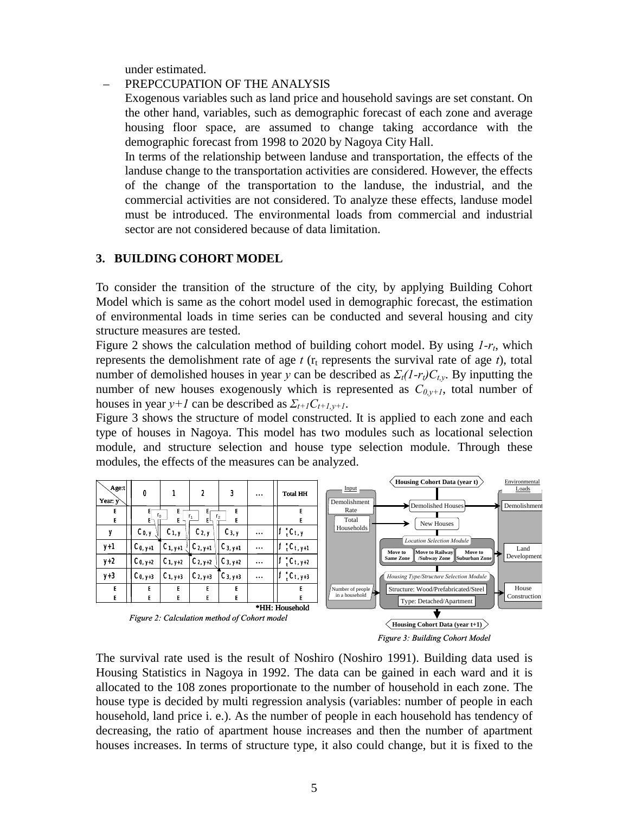under estimated.

#### – PREPCCUPATION OF THE ANALYSIS

Exogenous variables such as land price and household savings are set constant. On the other hand, variables, such as demographic forecast of each zone and average housing floor space, are assumed to change taking accordance with the demographic forecast from 1998 to 2020 by Nagoya City Hall.

In terms of the relationship between landuse and transportation, the effects of the landuse change to the transportation activities are considered. However, the effects of the change of the transportation to the landuse, the industrial, and the commercial activities are not considered. To analyze these effects, landuse model must be introduced. The environmental loads from commercial and industrial sector are not considered because of data limitation.

#### **3. BUILDING COHORT MODEL**

To consider the transition of the structure of the city, by applying Building Cohort Model which is same as the cohort model used in demographic forecast, the estimation of environmental loads in time series can be conducted and several housing and city structure measures are tested.

Figure 2 shows the calculation method of building cohort model. By using *1-r<sub>t</sub>*, which represents the demolishment rate of age  $t$  ( $r_t$  represents the survival rate of age  $t$ ), total number of demolished houses in year *y* can be described as  $\Sigma_t(I-r_t)C_t$ . By inputting the number of new houses exogenously which is represented as  $C_{0,y+1}$ , total number of houses in year  $y+1$  can be described as  $\sum_{t+1} C_{t+1,y+1}$ .

Figure 3 shows the structure of model constructed. It is applied to each zone and each type of houses in Nagoya. This model has two modules such as locational selection module, and structure selection and house type selection module. Through these modules, the effects of the measures can be analyzed.





The survival rate used is the result of Noshiro (Noshiro 1991). Building data used is Housing Statistics in Nagoya in 1992. The data can be gained in each ward and it is allocated to the 108 zones proportionate to the number of household in each zone. The house type is decided by multi regression analysis (variables: number of people in each household, land price i. e.). As the number of people in each household has tendency of decreasing, the ratio of apartment house increases and then the number of apartment houses increases. In terms of structure type, it also could change, but it is fixed to the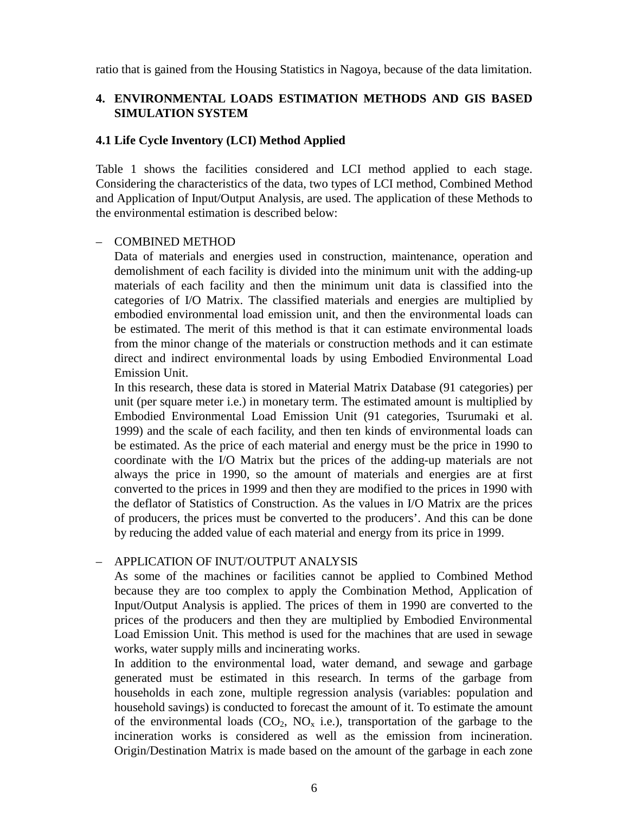ratio that is gained from the Housing Statistics in Nagoya, because of the data limitation.

# **4. ENVIRONMENTAL LOADS ESTIMATION METHODS AND GIS BASED SIMULATION SYSTEM**

## **4.1 Life Cycle Inventory (LCI) Method Applied**

Table 1 shows the facilities considered and LCI method applied to each stage. Considering the characteristics of the data, two types of LCI method, Combined Method and Application of Input/Output Analysis, are used. The application of these Methods to the environmental estimation is described below:

#### – COMBINED METHOD

Data of materials and energies used in construction, maintenance, operation and demolishment of each facility is divided into the minimum unit with the adding-up materials of each facility and then the minimum unit data is classified into the categories of I/O Matrix. The classified materials and energies are multiplied by embodied environmental load emission unit, and then the environmental loads can be estimated. The merit of this method is that it can estimate environmental loads from the minor change of the materials or construction methods and it can estimate direct and indirect environmental loads by using Embodied Environmental Load Emission Unit.

In this research, these data is stored in Material Matrix Database (91 categories) per unit (per square meter i.e.) in monetary term. The estimated amount is multiplied by Embodied Environmental Load Emission Unit (91 categories, Tsurumaki et al. 1999) and the scale of each facility, and then ten kinds of environmental loads can be estimated. As the price of each material and energy must be the price in 1990 to coordinate with the I/O Matrix but the prices of the adding-up materials are not always the price in 1990, so the amount of materials and energies are at first converted to the prices in 1999 and then they are modified to the prices in 1990 with the deflator of Statistics of Construction. As the values in I/O Matrix are the prices of producers, the prices must be converted to the producers'. And this can be done by reducing the added value of each material and energy from its price in 1999.

## – APPLICATION OF INUT/OUTPUT ANALYSIS

As some of the machines or facilities cannot be applied to Combined Method because they are too complex to apply the Combination Method, Application of Input/Output Analysis is applied. The prices of them in 1990 are converted to the prices of the producers and then they are multiplied by Embodied Environmental Load Emission Unit. This method is used for the machines that are used in sewage works, water supply mills and incinerating works.

In addition to the environmental load, water demand, and sewage and garbage generated must be estimated in this research. In terms of the garbage from households in each zone, multiple regression analysis (variables: population and household savings) is conducted to forecast the amount of it. To estimate the amount of the environmental loads  $(CO_2, NO_x$  i.e.), transportation of the garbage to the incineration works is considered as well as the emission from incineration. Origin/Destination Matrix is made based on the amount of the garbage in each zone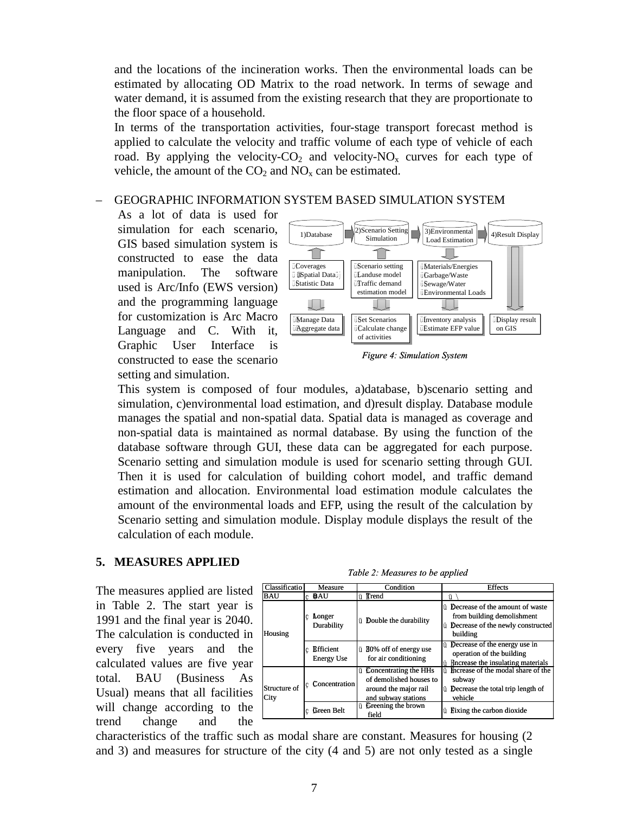and the locations of the incineration works. Then the environmental loads can be estimated by allocating OD Matrix to the road network. In terms of sewage and water demand, it is assumed from the existing research that they are proportionate to the floor space of a household.

In terms of the transportation activities, four-stage transport forecast method is applied to calculate the velocity and traffic volume of each type of vehicle of each road. By applying the velocity- $CO_2$  and velocity- $NO_x$  curves for each type of vehicle, the amount of the  $CO<sub>2</sub>$  and  $NO<sub>x</sub>$  can be estimated.

# – GEOGRAPHIC INFORMATION SYSTEM BASED SIMULATION SYSTEM

As a lot of data is used for simulation for each scenario, GIS based simulation system is constructed to ease the data manipulation. The software used is Arc/Info (EWS version) and the programming language for customization is Arc Macro Language and C. With it, Graphic User Interface is constructed to ease the scenario setting and simulation.





This system is composed of four modules, a)database, b)scenario setting and simulation, c)environmental load estimation, and d)result display. Database module manages the spatial and non-spatial data. Spatial data is managed as coverage and non-spatial data is maintained as normal database. By using the function of the database software through GUI, these data can be aggregated for each purpose. Scenario setting and simulation module is used for scenario setting through GUI. Then it is used for calculation of building cohort model, and traffic demand estimation and allocation. Environmental load estimation module calculates the amount of the environmental loads and EFP, using the result of the calculation by Scenario setting and simulation module. Display module displays the result of the calculation of each module.

#### **5. MEASURES APPLIED**

The measures applied are listed in Table 2. The start year is 1991 and the final year is 2040. The calculation is conducted in every five years and the calculated values are five year total. BAU (Business As Usual) means that all facilities will change according to the trend change and the

*Table 2: Measures to be applied*

| Classificatio        | Measure                                 | Condition                                                                                                             | <b>Effects</b>                                                                                                                          |  |
|----------------------|-----------------------------------------|-----------------------------------------------------------------------------------------------------------------------|-----------------------------------------------------------------------------------------------------------------------------------------|--|
| BAU                  | c <b>BAU</b>                            | <b>ü T</b> rend                                                                                                       | ü                                                                                                                                       |  |
| Housing              | <b>Longer</b><br>c.<br>Durability       | <b><i><u>ü</u></i></b> Double the durability                                                                          | <b><i>i</i></b> Decrease of the amount of waste<br>from building demolishment<br><b>Ü</b> Decrease of the newly constructed<br>building |  |
|                      | <b>R</b> ifficient<br><b>Energy Use</b> | ü 180% off of energy use<br>for air conditioning                                                                      | <b>Ü</b> Decrease of the energy use in<br>operation of the building<br>Increase the insulating materials<br>ü                           |  |
| Structure of<br>City | Concentration                           | <i><u><b>Concentrating the HHs</b></u></i><br>of demolished houses to<br>around the major rail<br>and subway stations | i multipleright in the modal share of the<br>subway<br><i>i</i> Decrease the total trip length of<br>vehicle                            |  |
|                      | Green Belt<br>c                         | <b><i><u>U</u></i></b> Creening the brown<br>field                                                                    | <i>i</i> l Fixing the carbon dioxide                                                                                                    |  |

characteristics of the traffic such as modal share are constant. Measures for housing (2 and 3) and measures for structure of the city (4 and 5) are not only tested as a single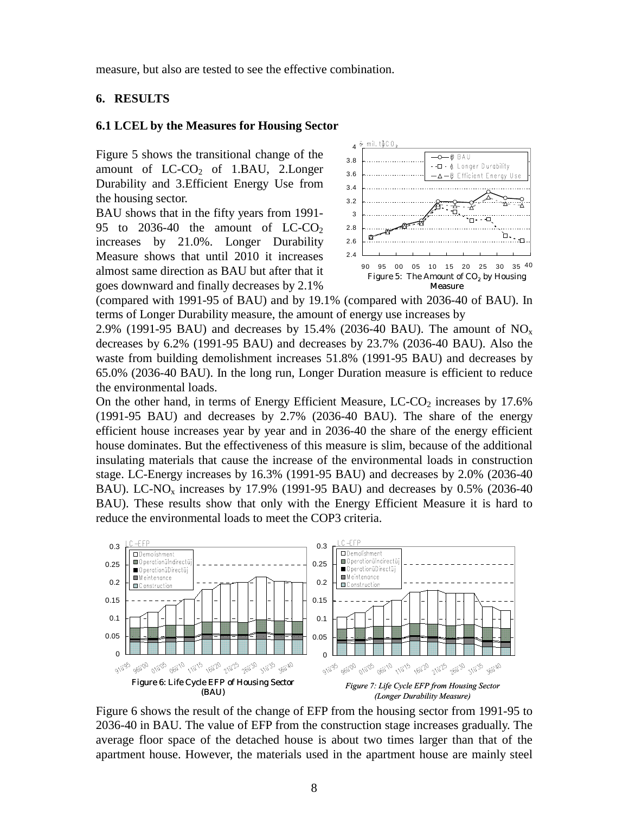measure, but also are tested to see the effective combination.

## **6. RESULTS**

#### **6.1 LCEL by the Measures for Housing Sector**

Figure 5 shows the transitional change of the amount of  $LC-CO<sub>2</sub>$  of 1.BAU, 2.Longer Durability and 3.Efficient Energy Use from the housing sector.

BAU shows that in the fifty years from 1991- 95 to 2036-40 the amount of  $LC-CO<sub>2</sub>$ increases by 21.0%. Longer Durability Measure shows that until 2010 it increases almost same direction as BAU but after that it goes downward and finally decreases by 2.1%



(compared with 1991-95 of BAU) and by 19.1% (compared with 2036-40 of BAU). In terms of Longer Durability measure, the amount of energy use increases by

2.9% (1991-95 BAU) and decreases by 15.4% (2036-40 BAU). The amount of  $NO_x$ decreases by 6.2% (1991-95 BAU) and decreases by 23.7% (2036-40 BAU). Also the waste from building demolishment increases 51.8% (1991-95 BAU) and decreases by 65.0% (2036-40 BAU). In the long run, Longer Duration measure is efficient to reduce the environmental loads.

On the other hand, in terms of Energy Efficient Measure,  $LC-CO<sub>2</sub>$  increases by 17.6% (1991-95 BAU) and decreases by 2.7% (2036-40 BAU). The share of the energy efficient house increases year by year and in 2036-40 the share of the energy efficient house dominates. But the effectiveness of this measure is slim, because of the additional insulating materials that cause the increase of the environmental loads in construction stage. LC-Energy increases by 16.3% (1991-95 BAU) and decreases by 2.0% (2036-40 BAU). LC-NO<sub>x</sub> increases by 17.9% (1991-95 BAU) and decreases by  $0.5\%$  (2036-40) BAU). These results show that only with the Energy Efficient Measure it is hard to reduce the environmental loads to meet the COP3 criteria.



Figure 6 shows the result of the change of EFP from the housing sector from 1991-95 to 2036-40 in BAU. The value of EFP from the construction stage increases gradually. The average floor space of the detached house is about two times larger than that of the apartment house. However, the materials used in the apartment house are mainly steel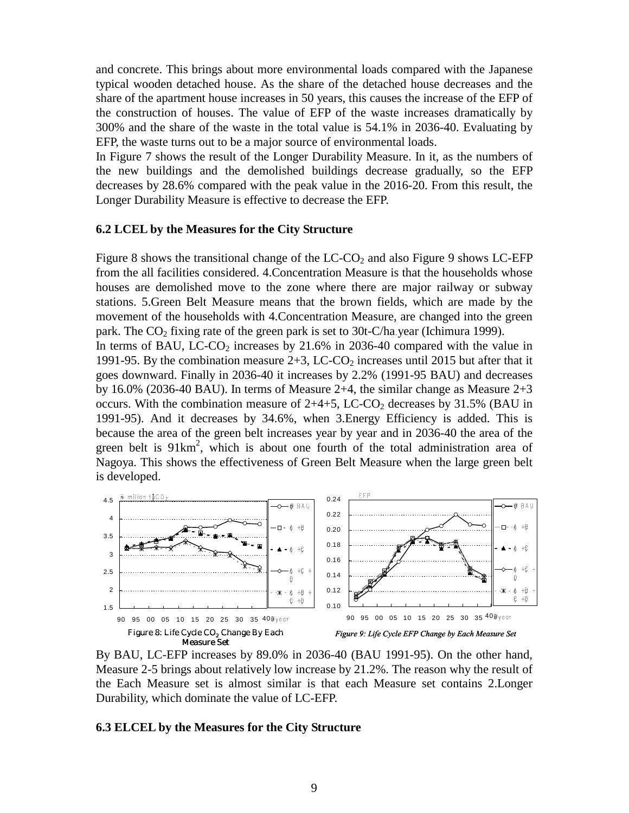and concrete. This brings about more environmental loads compared with the Japanese typical wooden detached house. As the share of the detached house decreases and the share of the apartment house increases in 50 years, this causes the increase of the EFP of the construction of houses. The value of EFP of the waste increases dramatically by 300% and the share of the waste in the total value is 54.1% in 2036-40. Evaluating by EFP, the waste turns out to be a major source of environmental loads.

In Figure 7 shows the result of the Longer Durability Measure. In it, as the numbers of the new buildings and the demolished buildings decrease gradually, so the EFP decreases by 28.6% compared with the peak value in the 2016-20. From this result, the Longer Durability Measure is effective to decrease the EFP.

#### **6.2 LCEL by the Measures for the City Structure**

Figure 8 shows the transitional change of the  $LC-CO<sub>2</sub>$  and also Figure 9 shows LC-EFP from the all facilities considered. 4.Concentration Measure is that the households whose houses are demolished move to the zone where there are major railway or subway stations. 5.Green Belt Measure means that the brown fields, which are made by the movement of the households with 4.Concentration Measure, are changed into the green park. The  $CO<sub>2</sub>$  fixing rate of the green park is set to 30t-C/ha year (Ichimura 1999).

In terms of BAU, LC-CO<sub>2</sub> increases by  $21.6\%$  in 2036-40 compared with the value in 1991-95. By the combination measure  $2+3$ , LC-CO<sub>2</sub> increases until 2015 but after that it goes downward. Finally in 2036-40 it increases by 2.2% (1991-95 BAU) and decreases by 16.0% (2036-40 BAU). In terms of Measure 2+4, the similar change as Measure 2+3 occurs. With the combination measure of  $2+4+5$ , LC-CO<sub>2</sub> decreases by 31.5% (BAU in 1991-95). And it decreases by 34.6%, when 3.Energy Efficiency is added. This is because the area of the green belt increases year by year and in 2036-40 the area of the green belt is  $91 \text{km}^2$ , which is about one fourth of the total administration area of Nagoya. This shows the effectiveness of Green Belt Measure when the large green belt is developed.



By BAU, LC-EFP increases by 89.0% in 2036-40 (BAU 1991-95). On the other hand, Measure 2-5 brings about relatively low increase by 21.2%. The reason why the result of the Each Measure set is almost similar is that each Measure set contains 2.Longer Durability, which dominate the value of LC-EFP.

#### **6.3 ELCEL by the Measures for the City Structure**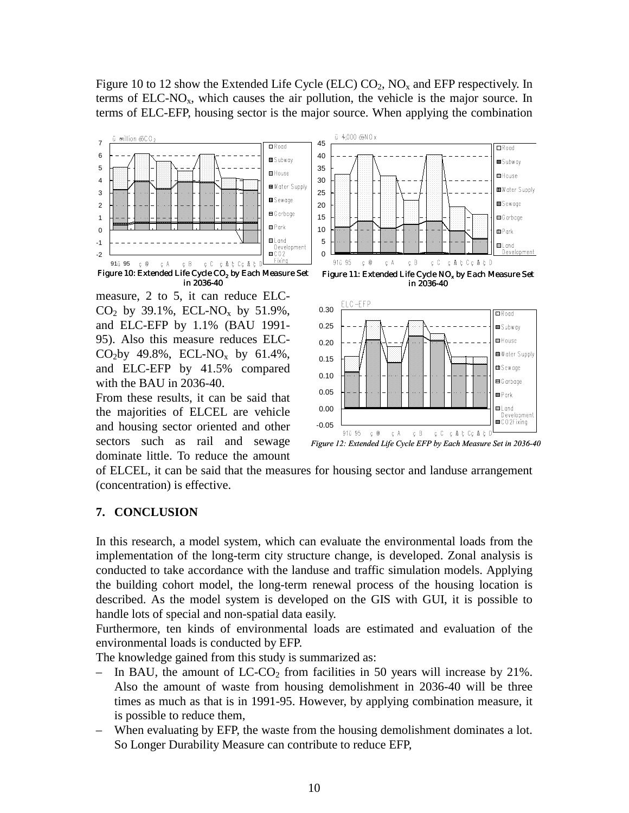Figure 10 to 12 show the Extended Life Cycle (ELC)  $CO_2$ ,  $NO_x$  and EFP respectively. In terms of  $ELC-NO<sub>x</sub>$ , which causes the air pollution, the vehicle is the major source. In terms of ELC-EFP, housing sector is the major source. When applying the combination



measure, 2 to 5, it can reduce ELC- $CO_2$  by 39.1%, ECL-NO<sub>x</sub> by 51.9%, and ELC-EFP by 1.1% (BAU 1991- 95). Also this measure reduces ELC-CO<sub>2</sub>by 49.8%, ECL-NO<sub>x</sub> by 61.4%, and ELC-EFP by 41.5% compared with the BAU in 2036-40.

From these results, it can be said that the majorities of ELCEL are vehicle and housing sector oriented and other sectors such as rail and sewage dominate little. To reduce the amount





*Figure 12: Extended Life Cycle EFP by Each Measure Set in 2036-40*

of ELCEL, it can be said that the measures for housing sector and landuse arrangement (concentration) is effective.

#### **7. CONCLUSION**

In this research, a model system, which can evaluate the environmental loads from the implementation of the long-term city structure change, is developed. Zonal analysis is conducted to take accordance with the landuse and traffic simulation models. Applying the building cohort model, the long-term renewal process of the housing location is described. As the model system is developed on the GIS with GUI, it is possible to handle lots of special and non-spatial data easily.

Furthermore, ten kinds of environmental loads are estimated and evaluation of the environmental loads is conducted by EFP.

The knowledge gained from this study is summarized as:

- In BAU, the amount of  $LC-CO<sub>2</sub>$  from facilities in 50 years will increase by 21%. Also the amount of waste from housing demolishment in 2036-40 will be three times as much as that is in 1991-95. However, by applying combination measure, it is possible to reduce them,
- When evaluating by EFP, the waste from the housing demolishment dominates a lot. So Longer Durability Measure can contribute to reduce EFP,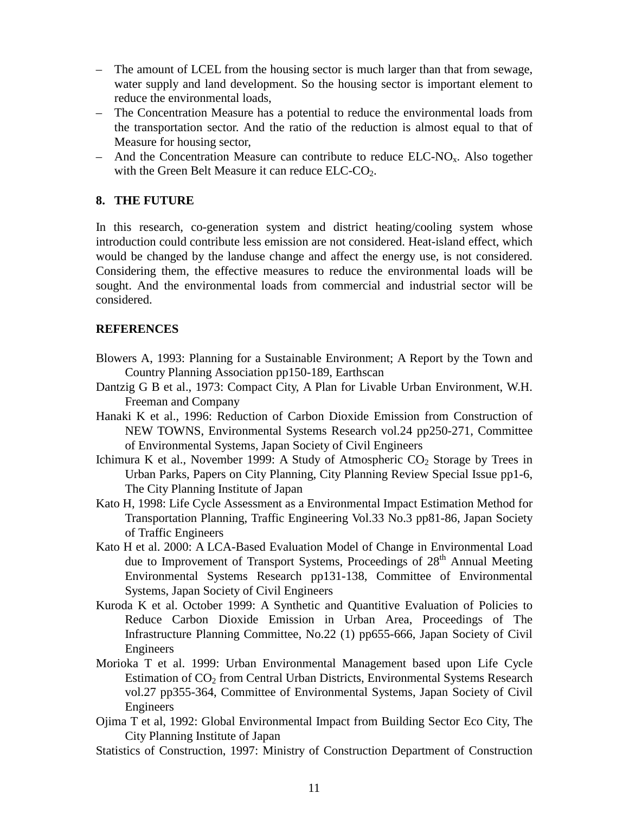- The amount of LCEL from the housing sector is much larger than that from sewage, water supply and land development. So the housing sector is important element to reduce the environmental loads,
- The Concentration Measure has a potential to reduce the environmental loads from the transportation sector. And the ratio of the reduction is almost equal to that of Measure for housing sector,
- And the Concentration Measure can contribute to reduce  $ELC-NO<sub>x</sub>$ . Also together with the Green Belt Measure it can reduce ELC-CO<sub>2</sub>.

## **8. THE FUTURE**

In this research, co-generation system and district heating/cooling system whose introduction could contribute less emission are not considered. Heat-island effect, which would be changed by the landuse change and affect the energy use, is not considered. Considering them, the effective measures to reduce the environmental loads will be sought. And the environmental loads from commercial and industrial sector will be considered.

## **REFERENCES**

- Blowers A, 1993: Planning for a Sustainable Environment; A Report by the Town and Country Planning Association pp150-189, Earthscan
- Dantzig G B et al., 1973: Compact City, A Plan for Livable Urban Environment, W.H. Freeman and Company
- Hanaki K et al., 1996: Reduction of Carbon Dioxide Emission from Construction of NEW TOWNS, Environmental Systems Research vol.24 pp250-271, Committee of Environmental Systems, Japan Society of Civil Engineers
- Ichimura K et al., November 1999: A Study of Atmospheric  $CO<sub>2</sub>$  Storage by Trees in Urban Parks, Papers on City Planning, City Planning Review Special Issue pp1-6, The City Planning Institute of Japan
- Kato H, 1998: Life Cycle Assessment as a Environmental Impact Estimation Method for Transportation Planning, Traffic Engineering Vol.33 No.3 pp81-86, Japan Society of Traffic Engineers
- Kato H et al. 2000: A LCA-Based Evaluation Model of Change in Environmental Load due to Improvement of Transport Systems, Proceedings of 28<sup>th</sup> Annual Meeting Environmental Systems Research pp131-138, Committee of Environmental Systems, Japan Society of Civil Engineers
- Kuroda K et al. October 1999: A Synthetic and Quantitive Evaluation of Policies to Reduce Carbon Dioxide Emission in Urban Area, Proceedings of The Infrastructure Planning Committee, No.22 (1) pp655-666, Japan Society of Civil Engineers
- Morioka T et al. 1999: Urban Environmental Management based upon Life Cycle Estimation of  $CO<sub>2</sub>$  from Central Urban Districts, Environmental Systems Research vol.27 pp355-364, Committee of Environmental Systems, Japan Society of Civil Engineers
- Ojima T et al, 1992: Global Environmental Impact from Building Sector Eco City, The City Planning Institute of Japan
- Statistics of Construction, 1997: Ministry of Construction Department of Construction